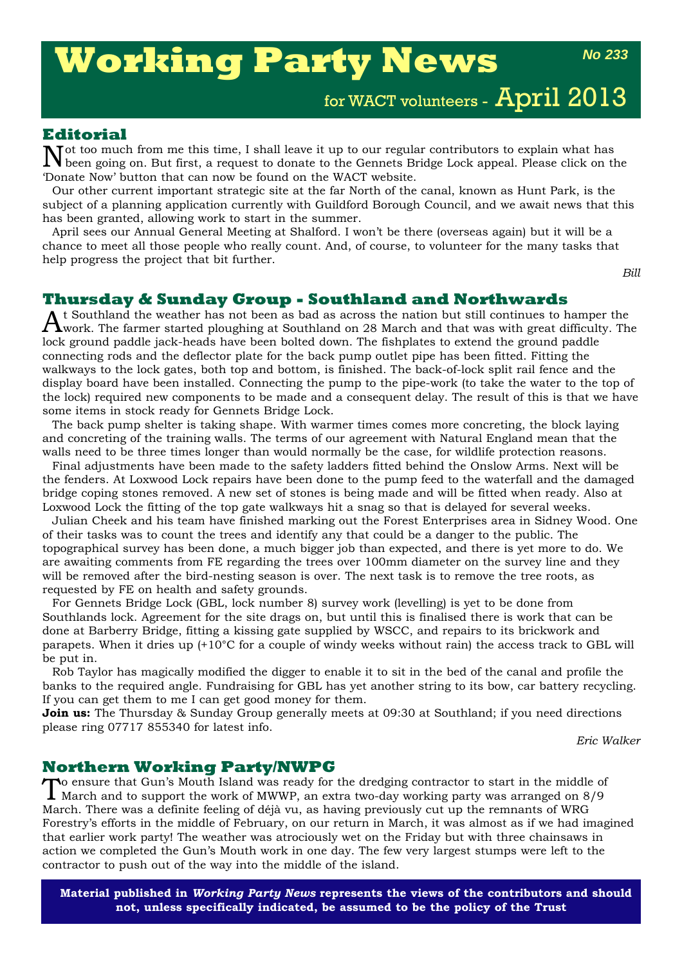# **Working Party News**

*No 233*

for WACT volunteers - April 2013

# **Editorial**

Tot too much from me this time, I shall leave it up to our regular contributors to explain what has been going on. But first, a request to donate to the Gennets Bridge Lock appeal. Please click on the 'Donate Now' button that can now be found on the WACT website.

Our other current important strategic site at the far North of the canal, known as Hunt Park, is the subject of a planning application currently with Guildford Borough Council, and we await news that this has been granted, allowing work to start in the summer.

April sees our Annual General Meeting at Shalford. I won't be there (overseas again) but it will be a chance to meet all those people who really count. And, of course, to volunteer for the many tasks that help progress the project that bit further.

*Bill*

## **Thursday & Sunday Group - Southland and Northwards**

 $A$ t Southland the weather has not been as bad as across the nation but still continues to hamper the work. The farmer started ploughing at Southland on 28 March and that was with great difficulty. The lock ground paddle jack-heads have been bolted down. The fishplates to extend the ground paddle connecting rods and the deflector plate for the back pump outlet pipe has been fitted. Fitting the walkways to the lock gates, both top and bottom, is finished. The back-of-lock split rail fence and the display board have been installed. Connecting the pump to the pipe-work (to take the water to the top of the lock) required new components to be made and a consequent delay. The result of this is that we have some items in stock ready for Gennets Bridge Lock.

The back pump shelter is taking shape. With warmer times comes more concreting, the block laying and concreting of the training walls. The terms of our agreement with Natural England mean that the walls need to be three times longer than would normally be the case, for wildlife protection reasons.

Final adjustments have been made to the safety ladders fitted behind the Onslow Arms. Next will be the fenders. At Loxwood Lock repairs have been done to the pump feed to the waterfall and the damaged bridge coping stones removed. A new set of stones is being made and will be fitted when ready. Also at Loxwood Lock the fitting of the top gate walkways hit a snag so that is delayed for several weeks.

Julian Cheek and his team have finished marking out the Forest Enterprises area in Sidney Wood. One of their tasks was to count the trees and identify any that could be a danger to the public. The topographical survey has been done, a much bigger job than expected, and there is yet more to do. We are awaiting comments from FE regarding the trees over 100mm diameter on the survey line and they will be removed after the bird-nesting season is over. The next task is to remove the tree roots, as requested by FE on health and safety grounds.

For Gennets Bridge Lock (GBL, lock number 8) survey work (levelling) is yet to be done from Southlands lock. Agreement for the site drags on, but until this is finalised there is work that can be done at Barberry Bridge, fitting a kissing gate supplied by WSCC, and repairs to its brickwork and parapets. When it dries up (+10°C for a couple of windy weeks without rain) the access track to GBL will be put in.

Rob Taylor has magically modified the digger to enable it to sit in the bed of the canal and profile the banks to the required angle. Fundraising for GBL has yet another string to its bow, car battery recycling. If you can get them to me I can get good money for them.

**Join us:** The Thursday & Sunday Group generally meets at 09:30 at Southland; if you need directions please ring 07717 855340 for latest info.

*Eric Walker*

### **Northern Working Party/NWPG**

To ensure that Gun's Mouth Island was ready for the dredging contractor to start in the middle of March and to support the work of MWWP, an extra two-day working party was arranged on 8/9 March. There was a definite feeling of déjà vu, as having previously cut up the remnants of WRG Forestry's efforts in the middle of February, on our return in March, it was almost as if we had imagined that earlier work party! The weather was atrociously wet on the Friday but with three chainsaws in action we completed the Gun's Mouth work in one day. The few very largest stumps were left to the contractor to push out of the way into the middle of the island.

**Material published in** *Working Party News* **represents the views of the contributors and should not, unless specifically indicated, be assumed to be the policy of the Trust**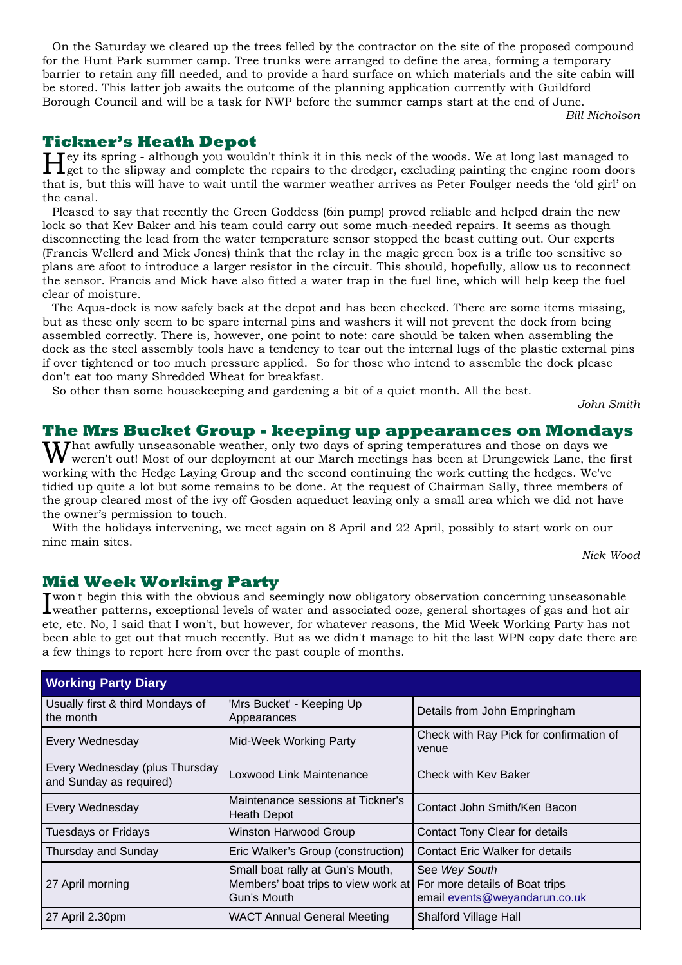On the Saturday we cleared up the trees felled by the contractor on the site of the proposed compound for the Hunt Park summer camp. Tree trunks were arranged to define the area, forming a temporary barrier to retain any fill needed, and to provide a hard surface on which materials and the site cabin will be stored. This latter job awaits the outcome of the planning application currently with Guildford Borough Council and will be a task for NWP before the summer camps start at the end of June.

*Bill Nicholson*

**Tickner's Heath Depot**<br>**T** Tey its spring - although you wouldn't think it in this neck of the woods. We at long last managed to Hey its spring - although you wouldn't think it in this neck of the woods. We at long last managed to get to the slipway and complete the repairs to the dredger, excluding painting the engine room doors that is, but this will have to wait until the warmer weather arrives as Peter Foulger needs the 'old girl' on the canal.

Pleased to say that recently the Green Goddess (6in pump) proved reliable and helped drain the new lock so that Kev Baker and his team could carry out some much-needed repairs. It seems as though disconnecting the lead from the water temperature sensor stopped the beast cutting out. Our experts (Francis Wellerd and Mick Jones) think that the relay in the magic green box is a trifle too sensitive so plans are afoot to introduce a larger resistor in the circuit. This should, hopefully, allow us to reconnect the sensor. Francis and Mick have also fitted a water trap in the fuel line, which will help keep the fuel clear of moisture.

The Aqua-dock is now safely back at the depot and has been checked. There are some items missing, but as these only seem to be spare internal pins and washers it will not prevent the dock from being assembled correctly. There is, however, one point to note: care should be taken when assembling the dock as the steel assembly tools have a tendency to tear out the internal lugs of the plastic external pins if over tightened or too much pressure applied. So for those who intend to assemble the dock please don't eat too many Shredded Wheat for breakfast.

So other than some housekeeping and gardening a bit of a quiet month. All the best.

*John Smith*

# **The Mrs Bucket Group - keeping up appearances on Mondays**

What awfully unseasonable weather, only two days of spring temperatures and those on days we<br>Wweren't out! Most of our deployment at our March meetings has been at Drungewick Lane, the first working with the Hedge Laying Group and the second continuing the work cutting the hedges. We've tidied up quite a lot but some remains to be done. At the request of Chairman Sally, three members of the group cleared most of the ivy off Gosden aqueduct leaving only a small area which we did not have the owner's permission to touch.

With the holidays intervening, we meet again on 8 April and 22 April, possibly to start work on our nine main sites.

*Nick Wood*

# **Mid Week Working Party**

I won't begin this with the obvious and seemingly now obligatory observation concerning unseasonable<br>I weather patterns, exceptional levels of water and associated ooze, general shortages of gas and hot air weather patterns, exceptional levels of water and associated ooze, general shortages of gas and hot air etc, etc. No, I said that I won't, but however, for whatever reasons, the Mid Week Working Party has not been able to get out that much recently. But as we didn't manage to hit the last WPN copy date there are a few things to report here from over the past couple of months.

| <b>Working Party Diary</b>                                |                                                                                        |                                                                                  |  |  |
|-----------------------------------------------------------|----------------------------------------------------------------------------------------|----------------------------------------------------------------------------------|--|--|
| Usually first & third Mondays of<br>the month             | 'Mrs Bucket' - Keeping Up<br>Appearances                                               | Details from John Empringham                                                     |  |  |
| Every Wednesday                                           | Mid-Week Working Party                                                                 | Check with Ray Pick for confirmation of<br>venue                                 |  |  |
| Every Wednesday (plus Thursday<br>and Sunday as required) | Loxwood Link Maintenance                                                               | Check with Key Baker                                                             |  |  |
| Every Wednesday                                           | Maintenance sessions at Tickner's<br><b>Heath Depot</b>                                | Contact John Smith/Ken Bacon                                                     |  |  |
| <b>Tuesdays or Fridays</b>                                | Winston Harwood Group                                                                  | Contact Tony Clear for details                                                   |  |  |
| Thursday and Sunday                                       | Eric Walker's Group (construction)                                                     | <b>Contact Eric Walker for details</b>                                           |  |  |
| 27 April morning                                          | Small boat rally at Gun's Mouth,<br>Members' boat trips to view work at<br>Gun's Mouth | See Wey South<br>For more details of Boat trips<br>email events@weyandarun.co.uk |  |  |
| 27 April 2.30pm                                           | <b>WACT Annual General Meeting</b>                                                     | <b>Shalford Village Hall</b>                                                     |  |  |